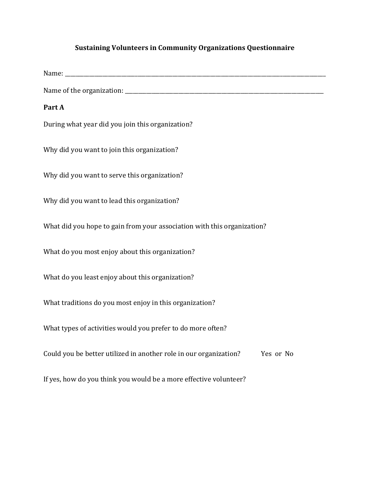## **Sustaining Volunteers in Community Organizations Questionnaire**

Name:

Name of the organization:

## **Part A**

During what year did you join this organization?

Why did you want to join this organization?

Why did you want to serve this organization?

Why did you want to lead this organization?

What did you hope to gain from your association with this organization?

What do you most enjoy about this organization?

What do you least enjoy about this organization?

What traditions do you most enjoy in this organization?

What types of activities would you prefer to do more often?

Could you be better utilized in another role in our organization? Yes or No

If yes, how do you think you would be a more effective volunteer?